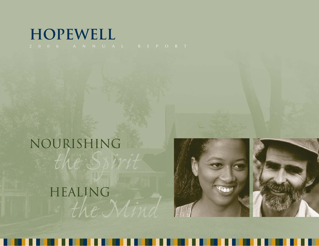## **Hopewell**

# Nourishing *the Spirit* Healing *the Mind*



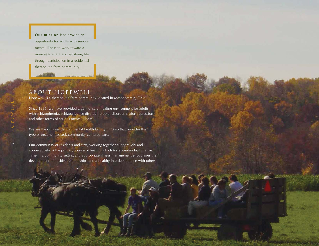**Our mission** is to provide an opportunity for adults with serious mental illness to work toward a more self-reliant and satisfying life through participation in a residential therapeutic farm community.

### About Hopewell

Hopewell is a therapeutic farm community located in Mesopotamia, Ohio.

Since 1996, we have provided a gentle, safe, healing environment for adults with schizophrenia, schizoaffective disorder, bipolar disorder, major depression and other forms of serious mental illness.

We are the only residential mental health facility in Ohio that provides this type of treatment-based, community-centered care.

Our community of residents and staff, working together supportively and cooperatively, is the primary source of healing which fosters individual change. Time in a community setting and appropriate illness management encourages the development of positive relationships and a healthy interdependence with others.

2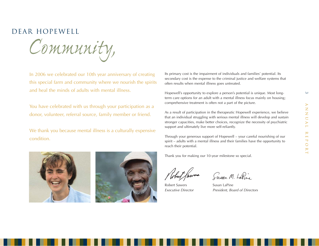$\omega$ 

## dear hopewell

*Community,*

In 2006 we celebrated our 10th year anniversary of creating this special farm and community where we nourish the spirits and heal the minds of adults with mental illness.

You have celebrated with us through your participation as a donor, volunteer, referral source, family member or friend.

We thank you because mental illness is a culturally expensive condition.





Its primary cost is the impairment of individuals and families' potential. Its secondary cost is the expense to the criminal justice and welfare systems that often results when mental illness goes untreated.

Hopewell's opportunity to explore a person's potential is unique. Most longterm care options for an adult with a mental illness focus mainly on housing; comprehensive treatment is often not a part of the picture.

As a result of participation in the therapeutic Hopewell experience, we believe that an individual struggling with serious mental illness will develop and sustain stronger capacities, make better choices, recognize the necessity of psychiatric support and ultimately live more self-reliantly.

Through your generous support of Hopewell – your careful nourishing of our spirit – adults with a mental illness and their families have the opportunity to reach their potential.

Thank you for making our 10-year milestone so special.

Robert Sawers Susan LaPine

Susan M. LaPine

Executive Director **President, Board of Directors**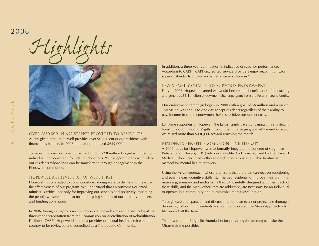## 2006

*Highlights*



Over \$630,000 in Assistance Provided to Residents At any given time, Hopewell provides over 90 percent of our residents with financial assistance. In 2006, that amount totaled \$639,000.

To make this possible, over 30 percent of our \$2.8 million budget is funded by individual, corporate and foundation donations. Your support means so much to our residents whose lives can be transformed through engagement in the Hopewell community.

#### Hopewell Achieves Nationwide First

Hopewell is committed to continuously exploring ways to define and measure the effectiveness of our program. We understand that an outcomes-oriented mindset is critical not only for improving our services and positively impacting the people we serve, but also for the ongoing support of our board, volunteers and funding community.

In 2006, through a rigorous review process, Hopewell achieved a groundbreaking three-year accreditation from the Commission on Accreditation of Rehabilitation Facilities (CARF). Hopewell is the first provider of mental health services in the country to be reviewed and accredited as a Therapeutic Community.

In addition, a three-year certification is indicative of superior performance. According to CARF, "CARF-accredited service providers enjoy recognition…for superior standards of care and excellence in outcomes."

#### Lewis Family Challenge Supports Endowment

Early in 2006, Hopewell learned we would become the beneficiaries of an exciting and generous \$1.1 million endowment challenge grant from the Peter B. Lewis Family.

Our endowment campaign began in 2000 with a goal of \$6 million and a vision. This vision was and is to one day accept residents regardless of their ability to pay. Income from the endowment helps subsidize our unmet costs.

Longtime supporters of Hopewell, the Lewis Family gave our campaign a significant boost by doubling donors' gifts through their challenge grant. At the end of 2006, we raised more than \$430,000 toward reaching the match.

#### Residents Benefit from Cognitive Therapy

A 2006 focus for Hopewell was to formally integrate the concept of Cognitive Rehabilitation Therapy (CRT) into our daily life. CRT is recognized by The Harvard Medical School and many other research institutions as a viable treatment method for mental health recovery.

Using the Miran Approach, whose premise is that the brain can recover functioning and even relearn cognitive skills, staff helped residents to improve their planning, reasoning, memory and motor skills through carefully designed activities. Each of these skills, and the many others that are addressed, are necessary for an individual to operate in a community and to minimize mental dysfunction.

Through careful preparation and discussion prior to an event or project and thorough debriefing following it, residents and staff incorporated the Miran Approach into life on and off the farm.

Thank you to the Ridgecliff Foundation for providing the funding to make the Miran training possible.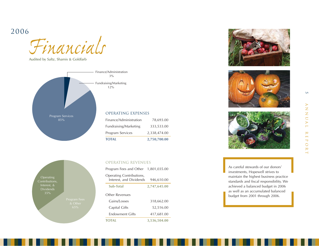## 2006

*Financials*

Audited by Saltz, Shamis & Goldfarb





## OPERATING revenues

| Program Fees and Other 1,801,035.00                 |              |
|-----------------------------------------------------|--------------|
| Operating Contributions,<br>Interest, and Dividends | 946,610.00   |
| Sub-Total                                           | 2,747,645.00 |
| Other Revenues                                      |              |
| Gains/Losses                                        | 318,662.00   |
| Capital Gifts                                       | 52,516.00    |
| <b>Endowment Gifts</b>                              | 417,681.00   |
| <b>TOTAL</b>                                        | 3,536,504.00 |







As careful stewards of our donors' investments, Hopewell strives to maintain the highest business practice standards and fiscal responsibility. We achieved a balanced budget in 2006 as well as an accumulated balanced budget from 2001 through 2006.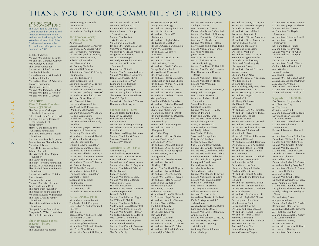## thank you to our community of friends

Mr. and Mrs. Hadlai A. Hull Mr. Henri Pell Junod, Jr. Robert and Elayne Kwait Lincoln Financial Group Foundation, Inc.

#### The Hopewell Endowment Fund

The Lewis Family Challenge Grant provided an exciting and generous component to our endowment fundraising in 2006. We raised close to half of the funds needed to match this \$1.1 million challenge and we continue in 2007.

#### Bettcher Industries

Mr. and Mrs. William E. Butler Mr. and Mrs. Gerald A. Conway Mrs. Carolyn C. Lampl The Lerner Foundation Mr. and Mrs. John C. Morley Mrs. Lucia S. Nash Mr. and Mrs. Alfred M. Rankin, Jr. Mr. Bruce T. Rankin Mr. and Mrs. David M. Schneider Tecovas Foundation Thompson Hine LLP Mr. and Mrs. Jordan A. Truthan Mr. and Mrs. John D. Wheeler Mr. and Mrs. Peter C. Wykoff

#### 2006 Gifts

6 HOPEWELL

 $\circ$ 

 $\Box$  $\geq$  $\pm$  $\sim$  $\circ$  $\pm$ 

**Clara T. Rankin Founders Society (\$5,000+)** The George W. Codrington Charitable Foundation Alton F. and Carrie S. Davis Fund Caroline B. Emeny Charitable Lead Annuity Trust Foster Family Harry K. and Emma R. Fox Charitable Foundation Louise H. and David S. Ingalls Foundation Mr.\* and Mrs. Brooks M. Jones Fred A. Lennon Charitable Trust Mr. Adam J. Lewis Mayer-Haber Memorial Fund Julien L. McCall The Margaret Clark Morgan Foundation The Murch Foundation The John P. Murphy Foundation The Edwin D. Northrup II Fund The Elisabeth Severance Prentiss Foundation Mr. and Mrs. William C. Prior Bruce Rankin Mrs. Alfred M. Rankin Mr. and Mrs. Albert B. Ratner James and Donna Reid The Reinberger Foundation The Ridgecliff Foundation, Inc. Mr. and Mrs. David M. Schneider The Sears-Swetland Family Foundation The Kelvin and Eleanor Smith Foundation George B. Storer Foundation Marguerite M. Wilson Foundation The Triple T Foundation

#### **The Homestead Society (\$2,500 – \$4,999)**

Anonymous The Cleveland Foundation Home Savings Charitable Foundation Mrs. John F. Nash Mr. and Mrs. Dudley P. Sheffler

Anonymous

Mrs. Ellen W. Chinn

Mrs. Charles Hickox

Hodder

Berger Beth Boles

Barbara Brown and Steve Ward Mr. William D. Ginn Mrs. Sally K. Griswold Stacie and Jeffrey Halpern Mr. and Mrs. William R. Hawke Mrs. Edith Blum Hirsch Mr. and Mrs. Arthur S. Holden, Jr.

Drs. Adel Mahmoud and Sally

Mr. and Mrs. Joseph J. Mahovlic Kathryn and John Makley Dr. Nancy Clay Marsteller Mr. and Mrs. Homer McDaniel Toddy and Jim McMonagle NACCO Industries, Inc. O'Neill Brothers Foundation Mr. and Mrs. Stanley C. Pace Mr. and Mrs. James R. Pender Mr. and Mrs. Alfred M. Rankin, Jr. Mr. and Mrs. Claiborne R. Rankin Roger F. and Alison A. Rankin Mr. and Mrs. Thomas T. Rankin Mr. Peter K. Ranney RIG III Family Foundation Mr. and Mrs. Robert J. Roth The South Waite Foundation Margaret G. Taplin Susan and John Turben Foundation The Veale Foundation Dr. Mary June Wall Mr. and Mrs. John D. Wheeler **Partner (\$500 – \$999)** Mr. and Mrs. James Bartlett The Belden Brick Company Drs. Nathan A. and Sosamma J.

Foundation

**The Compass Society (\$1,000 – \$2,499)** Mr. and Mrs. Sheldon G. Adelman Mr. and Mrs. A. Edward Albert Mrs. Raymond Q. Armington Dr. and Mrs. Jerald S. Brodkey Peter and Leonie Buckley Isabel D. Chamberlin Mr. Corning Chisholm Mary and Bill Conway Robert R. and Gay C. Cull Family David S. Dickenson II Eaton Charitable Fund Mr. and Mrs. Morton G. Epstein Mrs. Morris Everett, Sr. Mr. and Mrs. Frederick P. Floyd Mr. and Mrs. Geofrey J. Greenleaf Mr. and Mrs. Joseph D. Harnett Sally and Oliver Henkel Harvey and Norma Kotler Ms. Charlotte R. Kramer and Mr. Leonard Schwartz Mr. and Mrs. Dennis W. LaBarre Hal and Susan LaPine Dr. and Mrs. L. Douglas Lenkoski Mr. and Mrs. Louis A. MacKenzie, Jr. Milton and Tamar Maltz Dr. and Mrs. James S. Marshall Mrs. Walter Marting Mr. and Mrs. A. Malachi Mixon III Marge and Dan Moore Ms. Suzanne Morgan Eric and Jane Nord Foundation Mr. and Mrs. William M. Osborne, Ir. Jane and Jon Outcalt Mr. and Mrs. S. James Ruddock Mr. and Mrs. Robert E. Sawers Daniel E. Schweid, MD & Carolee K. Lesyk, Ph.D. Laura and Mike Shannon Mrs. Gretchen Smith Mr. and Mrs. James Spira Mr. and Mrs. John K. Sullivan The Nelson Talbott Foundation Mrs. C.C. Tippit Mr. and Mrs. Stephen D. Walters Denton and Faith Wyse **Sponsor (\$250 – \$499)** J.C. and Helen Rankin Butler Kathleen S. Crawford

Pam and Steve Keefe Key Foundation Mr. and Mrs. Arthur J. Lafave, Jr. Mr. and Mrs. Lawrence N. Murray Pysht Fund Drs. Robert and Peggy Ratcheson Mr. and Mrs. John M. Saada Mrs. Asa Shiverick, Jr. Mr. Mark W. Teague

#### **Associate (\$100 – \$249)** Anonymous (2)

Carol Rolf and Steven Adler Mr. and Ms. Thomas W. Adler Bruce and Barbara Akers Mr. and Mrs. A. Chace Anderson Mr. and Mrs. Albert A. Augustus Mr. and Mrs. Edward Babcock Dr. Les Ballard Kathleen Barber Mr. and Mrs. James S. Barker Mr. and Mrs. John S. Barker Mrs. Aloise O. Bates H. William Beechler William H. and Jeanne G. Belden Philanthropic Fund James R. Bell, Jr. Mr. and Mrs. Jeffrey M. Biggar Mr. William P. Blair III Mr. and Mrs. James D. Blaser Marlene and Harold Blumenthal Mr. and Mrs. James C. Boland Mr. and Mrs. Charles P. Bolton Mr. and Mrs. Kenyon C. Bolton III Mrs. Kenyon C. Bolton, Sr. BP - Matching Fund Programs Phyllis and Ed Brandon Mr. and Mrs. David L. Brennan Mr. and Mrs. Paul S. Brentlinger The Brick Family

Mr. Robert W. Briggs and Dr. Joanne H. Briggs Mr. and Mrs. Harvey Buchanan Mrs. Noah L. Butkin Mr. and Mrs. Donald V. Buttenheim Mr. and Mrs. Hugh Calkins Ms. Katherine Callahan Mr. and Dr. Gordon T. Canning, Jr. Nancy W. Carpenter Mr. and Mrs. William H. Carpenter Mr. and Mrs. David D. Carr Mrs. Ann B. Carter Leigh and Mary Carter Mr. and Mrs. David P. Cerone George N. Chandler II Mrs. Walter M. Charman, Jr. Mrs. Irving J. Chelm Mr. and Mrs. Homer Chisholm Ralph Gibbon and Jane Christie Mr. and Mrs. Michael A. Clegg Cohen and Company Mr. and Mrs. Evan R. Corns Mr. and Mrs. David A. Cowan Mr. and Mrs. Matthew Crawford Marilyn Cunin David and Debbie Daberko Mr. and Mrs. Peter W. Danford Jeffrey and Stephanie Danzinger Charles and Abbie Daroff Dr. and Mrs. Robert B. Daroff Mr. and Mrs. Jeffrey C. Davidson Mr. and Mrs. Edward H. deConingh, Jr. Bourne and Louise Dempsey Mr. and Mrs. James H. Dempsey, Jr. Mrs. Arthur Dery Mr. and Mrs. Michael DiMino James A. Doull, Jr. MD Jane Seelbach Driver Mr. and Mrs. Donald B. Eklund Mr. and Mrs. Oliver F. Emerson Dr. and Mrs. R. Bennett Eppes Howard Epstein, MD and Gregg Levine Mr. and Mrs. Chandler Everett Mr. and Mrs. Robert L. Findling, MD Mr. and Mrs. Franklin B. Floyd, Jr. Mr. and Mrs. Robert B. Ford Mr. and Mrs. Drew C. Forhan Dr. and Mrs. Ronald G. Fountain Mr. and Mrs. Peter K. Garson Stephen and Lisa Geber Mr. Michael J. Geier Mr. Timothy G. Geier Barbara P. Geismer Mr. and Mrs. Robert W. Gelbach Dr. Elizabeth Nagel Gersten Mr. and Mrs. John H. Gherlein Scott and Sharon Gilbert The Glubiak Family Mr. Jerold L. Goldman Mr. Sheldon Goodman Tom Goodman Douglas R. Gowland Mr. and Mrs. Jerome R. Gratry Mr. and Mrs. Richard C. Gridley Mr. and Mrs. Robert D. Gries Mr. and Mrs. Richard S. Grimm Jane and Jim Griswold

Mr. and Mrs. Brent R. Grover Shirley B. Grover Mrs. Laurence K. Groves Dr. and Mrs. James P. Guerrieri Mr. and Mrs. David H. Gunning Mr. and Mrs. William E. Gunton Mrs. John A. Hadden, Jr. Dr. and Mrs. Joseph F. Hahn Mary Louise and Richard Hahn Mr. and Mrs. Mark D. Hanna Ms. Alice N. Hannon Jane K. Harris Mrs. H. Stuart Harrison Mr. H. Clark Harvey and Ms. Holly Selvaggi Mr. and Mrs. Henry R. Hatch III Mr. and Mrs. David G. Heiman Peter Herbruck and Pamela Mascio Mr. and Mrs. John F. Herrick Mr. and Mrs. Robert Hexter Mr. and Mrs. William M. Hogan III Mr. and Mrs. John B. Hollister, Jr. Molly and Jack Hooper Mrs. Harry R. Horvitz Marcy and Richard Horvitz Foundation Samuel W. Hughes Katherine S. Ingalls Dr. and Mrs. Scott R. Inkley James D. Ireland III Susan and Stanley Jaros Mr. and Mrs. Norman Jeavons Mr. Charles F. Jenkins Nancy K. Johnson, MD Walter and Jean Kalberer Michael J. Kelley Mrs. Walter C. Kelley Susan and George Klein Knights of Columbus Lenore A. Kola, PhD Sue Ellen and Jeffrey Korach Mr. and Mrs. Ewald E. Kundtz, Jr. Mr. and Mrs. J. Andrew Kundtz Mr. and Mrs. William H. Lafave Kathleen Hartwell Lambacher Marilyn and Chris Langmack Honey and David Lazar Ray and Jennifer Leach Ms. Marcia W. Levine Teri and Mark Levine Dr. and Mrs. Stephen B. Levine Mr. and Mrs. Kurt L. Liljedahl Mr. and Mrs. Jon A. Lindseth Patricia H. Lineberger Mrs. James S. Lipscomb The Longview Foundation Bill and Susie MacDonald Ms. Jean C. Mackenzie Mr. and Mrs. Sheldon S. MacLeod Dr. M.E. Maguire and R.A. Macedonio Alan Markowitz and Cathy Pollard Nina and Sandy McAfee Mr. and Mrs. Arch J. McCartney Ann McConnell Mr. and Mrs. William C. McCoy Rob and Merry McCreary Mr. and Mrs. S. Sterling McMillan III McSherry, Patton & Toumert Joann Medinger

Mr. and Mrs. Howard C. Meyer, Jr. Dr. and Mrs. Beno Michel Mr. and Mrs. W.J. Miller II Robert and Laura Mock Mr. and Mrs. Michael Montlack Mr. and Mrs. Dixon Morgan, Jr. Harriet and Mel Morris Thomas and Jane Morris Warren and Betsi Morris Dr. Joan R. Mortimer Mr. and Mrs. Bert W. Moyar Scott and Margaret Mueller Dr. and Mrs. Paul Murray Helen and David Nagusky Narragansett Group Mr. and Mrs. Robert D. Neary Joanne Nemitz Ellen and Stuart Neye Dr. and Mrs. James C. Niederman Mrs. Daurine Noll Eric and Jane Nord M. I. Nurenberg and Joanne Klein OppenheimerFunds, Inc. Mr. and Mrs. Harvey G. Oppmann Mr. and Mrs. Edgar L. Ostendorf, Jr. Mr. Henry Ott-Hansen Ms. Diane L. Otto Gary Pagano Mr. and Mrs. John M. Plumpton Mr. and Mrs. Richard W. Pogue Julia and Larry Pollock Stanley M. Proctor Mr. and Mrs. Thomas A. Quintrell Mr. and Mrs. James Ratner Dr. and Mrs. Mohammad Rezaee Mrs. Thomas T. Richmond Mrs. Alice Robbins Mr. and Mrs. William R. Robertson Barbara S. Robinson Mr. and Mrs. David R. Robinson Dr. and Mrs. David A. Rodgers Miriam and Melvin Rosenthal Mr. and Mrs. Steven M. Ross M.H. Rountree Mr. and Mrs. Kevin K. Ruddock Mr. and Mrs. Peter Rzepka Judith and James Saks Dr. and Mrs. H.A. Scali Nancy and Regin Schlachet Cindy and Rick Schulz Mr. and Mrs. John B. Schulze Mark Schwartz and Bettina Katz Jeff Scott Mr. and Mrs. Samuel K. Scovil Mr. and Mrs. William Seelbach Dr. and Mrs. William C. Sheldon Ms. Kim Sherwin Mr. and Mrs. Asa Shiverick III Mr. and Mrs. Reginald C. Shiverick Drs. Jerry and Linda Shuck Mrs. Everett W. Smith Becky and Jeff Smythe Dr. Barry and Rena Sogoloff Mr. and Mrs. Robert F. Sposito Mr. and Mrs. Peter C. Steck Nancy C. Stevenson Mr. and Mrs. Joseph D. Sullivan Mrs. Lorraine S. Szabo Seth and Franny Taft Jack and Nancy Tanis

Joe and Susanne Teague

Mr. and Mrs. Henry L. Meyer III

Mr. and Mrs. Joseph H. Thomas Vincent and Patti Thomas Mr.\* and Mrs. W. Hayden Thompson Mr. and Mrs. F. Jerome Tone III Mr. and Mrs. Lyman H. Treadway III Karin and Jordan Truthan Mr. and Mrs. Hal Uhrman Dr. and Mrs. Wulf H. Utian Senator and Mrs. George V. Voinovich Dr. and Mrs. T.R. Warm Mr. and Mrs. David I. Warren Gail and Edward Weintraub Mort Weisberg Jerome F. Weiss Mr. Ronald I. Weiss Mr. and Mrs. Paul E. Westlake, Jr. Mr. and Mrs. Dickson Whitney, Jr. Mrs. Lewis C. Williams Alan D. and Gloria Wright Mr. and Mrs. Bennett Yanowitz Daniel and Nancy Zavelson **Supporter (Up to \$100)**

Mr. and Mrs. Bruce W. Thomas

Drs. Tom and Abby Abelson Ms. Nancy M. Ang Mr. Trin Avers Arthur D. Baldwin II Mr. and Mrs. Marshall T. Bedol David and Susan Bercheck Mrs. Elaine Bercu Mr. and Mrs. Michael Bidwell Mr. and Mrs. Charles A. Bittenbender Richard J. Blum and Harriet L. Warm Mr. and Mrs. Gabor S. Brachna Dr. and Mrs. William E. Bruner II Frances and Peter Buttenheim Dr. and Mrs. Charles M. Carr Dr. and Mrs. H. Cascorbi Mr. and Mrs. Lucien H. Case Dr. and Mrs. Melvin J. Chavinson Norman A. Clemens Lynda Elliott Conway Dr. and Mrs. Richard B. Corradi Mr. and Mrs. Barring Coughlin, Sr. Mr. and Mrs. Charles E. Daane Ms. Londa H. Dalton Mrs. Jean G. Daniel Dr. and Mrs. Chad L. Deal Dr. and Mrs. Garland Y. DeNelsky Mrs. Thurman Downing Mr. and Mrs. Theodore Fabyan Drs. John and Elizabeth Feighan Beverly Ludwig and Stanley M. Fisher Ken and Mary Foster Margaret Ann Freer Dr. and Mrs. Richard A. Friedell Barbara and Peter Galvin Mr. and Mrs. Richard C. Garretson

Ms. Hyatt N. Ghanbari Mr. and Mrs. Michael E. Grady Mrs. Leona Hanrahan Ms. Nancy H. Harvey Iris and Tom Harvie Mr. and Mrs. Lawrence H. Hatch Mr. Henry H. Hawley Mr. and Mrs. Farley Helms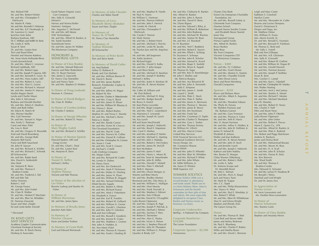Mrs. Roland Hill Mr. and Mrs. Robert Himler Mr. and Mrs. Christopher P. **Hitchcock** Mr. Martin R. Hoke Mr. and Mrs. Kenneth F. Holzman Mr. and Mrs. K.P. Horsburgh, Jr. Mr. Laurence G. Isard Junction Auto Sales Barbara Kaufman, MD Dr. C. William and Ardith M. Keck Ms. Linda Z. Kelly Susan R. Kent Dr. and Mrs. Layton Kest Terri and Stuart Kline Hershel and Maxine Koblenz Ms. Anne Marie Kollander-Benz Ursula Korneitchouk Dr. and Mrs. Albert C. Leizman Richard Lightbody, MD Mr. and Mrs. Robert Linns. Dr. and Mrs. Joseph P. Lipuma, MD Mr. and Mrs. Kenneth E. Lowe, Sr. Mr. and Mrs. Hans Luders, MD Mr. and Mrs. Robert A. Luria Mr. and Mrs. Alan G. Luzius Mr. and Mrs. Richard A. Manuel Mr. and Mrs. Martin H. Marcus Martha Rogers Marsh Lynda and Charlie Mayer Mrs. John S. McLennan Barbara and Donald Meckler Mr. and Mrs. Edwin S. Meekins Allen and Ruth Miller Mr. Edwin R. Motch III Mrs. Werner Mueller Mrs. Gail Newman Dr. and Mrs. Samuel A. Nigro Mrs. Emily C. Parkman Carol and Marc Pohl Ms. Lisa A. Reid Mr. and Mrs. Gregory H. Reynolds Enid and David Rosenberg Mr. and Mrs. George Roth Marjorie Bell Sachs Franz and Beth Sauerland Mr. John R. Sawyer Mr. and Mrs. Richard A. Schiller Mr. and Mrs. Richard C. Schmidt Jill Schumacher Mr. and Mrs. Ralph Seed Mrs. David A. Seidenfeld Max Stark Ms. Marjorie R. Stern Mr. and Mrs. Thomas E. Stratton-Crooke Mr. and Mrs. Frederick J. Taft Bill and Edie Taft Arthur Timmins Robert L. Vail Mr. George Vassos Mr. and Mrs. John Vrabel Ms. Clare R. Walker Dr. and Mrs. Herbert P. Wechsler Mr. and Mrs. Blair M. Whidden Dr. Norman Zaworski Susan and Marc Ziegler Ed and Linda Keller Zierold

\* Deceased

#### In Kind Gifts and Services Academy Graphic Communication Cleveland Zoological Society Mr. and Mrs. R. Breck Denny Desberg & Associates

Good Nature Organic Lawn Care Company Mrs. Sally K. Griswold Heinen's Harvey and Norma Kotler Martines' Antiques Mrs. Augustus C. McDaniel Mr. and Mrs. Jeff Meese NAC Technologies Mr. and Mrs. Alfred M. Rankin, Jr. Ms. Sandi Swanker Sunnybrook Farms Mr. and Mrs. James M. Walker The Wortzman Company

#### Honorary & Memorial Gifts

**In Honor of Clara Rankin** Mr. and Mrs. Edward Babcock Frances and Peter Buttenheim Mrs. H. Stuart Harrison Mrs. James S. Lipscomb Dr. Nancy Clay Marsteller Jack and Nancy Tanis Mr. and Mrs. Stephen D. Walters

**In Honor of Doug Lenkoski** Norman A. Clemens

**In Honor of David Rodgers** Ms. Clare R. Walker **In Honor of Gordon Jenkins** Mr. Charles F. Jenkins

**In Honor of Margie Wheeler** Mr. and Mrs. Robert D. Neary

**In Honor of Mary Wagley Galeti** Mr. and Mrs. Richard A. Schiller

**In Honor of Morton Epstein** Gregg Levine Ms. Marjorie R. Stern

**In Honor of**  Michael J. Kelley

**In Honor of Stephen Thomas** Vincent and Patti Thomas

**In Honor of the election of Lee Fisher** Beverly Ludwig and Stanley M. Fisher

**In Honor of William Wortzman** Mr. and Mrs. James Spira

**In Memory of Brooks Jones** Junction Auto Sales

**In Memory of Fletcher Gleason**  Karin and Jordan Truthan

**In Memory of Grant Roth** Gail and Edward Weintraub

Charles and Abbie Daroff **In Memory of Lorry Elizabeth (Betty) Brubaker** Susan and Marc Ziegler

**In Memory of John Chessler** 

**In Memory of Nancy M. O'Neill** Dr. Nancy Clay Marsteller **In Memory of** 

**Nathan Wisneski** Jill Schumacher

**In Memory of Peter Keefe**  Pam and Steve Keefe

#### **In Memory of David Cutler**

Mr. Ned Babbitt Arthur D. Baldwin II Randy and Gini Barbato Mr. and Mrs. William Barnes IV Mr. David S. Barrie Mr. and Mrs. James Bartlett Benesch, Friedlander, Coplan & Aronoff LLP Mr. and Mrs. Jeffrey M. Biggar Mr. Robert W. Birr Mr. and Mrs. Charles A. Bittenbender Mr. and Mrs. Craig A. Black

Stephen M. and Tressa C. Buente Mr. and Mrs. Michael J. Burns Patricia A. Butler Mr. and Mrs. Randy Carson Mr. and Mrs. Victor M. Cirocco The Cleveland Foundation Mr. and Mrs. Paul R. Cody Mr. and Mrs. Terence M. Collier Mr. and Mrs. Daniel R. Collister Mr. and Mrs. Christopher M. Connor

Ms. Susan I. Cook Mr. and Mrs. Scott S. Cowen Mr. Michael J. Critelli Cuffs Clothing Company Ms. Margo Cutler Mr. and Mrs. Richard W. Cutler Ms. Londa H. Dalton Mr. Henry Davis Mr. and Mrs. Jim Deskovich Mr. and Mrs. Mark P. Dickinson Dr. and Mrs. Walter H. Dimling Mr. and Mrs. James N. Doan Mr. and Mrs. William B. Doggett Mr. and Mrs. Samuel Dolinsky Elliott Electric Supply Mr. and Mrs. Robert A. Elliott Mr. and Mrs. Richard Fearon Mr. and Mrs. Mark J. Finkelstein Ms. Elisabeth A. France Mr. and Mrs. Earl R. Franklin Mr. and Mrs. Robert W. Gelbach Mr. and Mrs. William G. Genne Mr. and Mrs. Gerald L. Gherlein Mr. and Mrs. John H. Gherlein Bob and Ann Gillespie Mr. and Mrs. Russell J. Goodwin Mr. and Mrs. Jerome R. Gratry Mr. and Mrs. Matthew L. Greene Mrs. John A. Hadden, Jr. Ms. Ann Marie Halal Mr. and Mrs. Thomas R. Hanson Mr. and Mrs. Frank I. Harding III

Mr. and Mrs. James D. Blaser Mr. and Mrs. William W. Blausey, Jr. Ms. Donna L. Brant Mr. and Mrs. Robert Brehm

Howard Epstein, MD and Dr. and Mrs. Chad L. Deal Dr. and Mrs. Layton Kest

**Naomi H. Kelley**

Mr. and Mrs. Stephen R. Hardis. Mr. Paul N. Harris Mr. William C. Hartman Mr. and Mrs. Thomas Helfrich Mr. and Mrs. John F. Herrick Ms. Lorelei M. Hertvik Mr. and Mrs. Christopher P. Hitchcock Ms. Carole F. Hoover Mr. Mark Horner Mr. and Mrs. J. Robert Horst Mr. and Mrs. Michael I. Horvitz Mr. and Mrs. Leslie W. Jacobs Mr. Tianlun Jian and Ms. Jingchun Guo Mr. and Mrs. Jeff Jorgensen Ms. Kathy Juratovic Mr. Richard Kaglic Mr. and Mrs. Daniel S. Kalka Mr. and Mrs. F. John Kaspar Pam and Steve Keefe Mr. and Mrs. Michael D. Keeshan Mr. and Mrs. Joseph P. Keithley Michael J. Kelley Mr. and Mrs. Justin A. Kershaw III Mr. and Mrs. R. Steven Kestner KeyCorp Ms. Cathy M. Kilbane and Mr. Don Bullock Mr. and Mrs. Michael H. King Mr. and Mrs. Rodger Kowall Mr. Bruce A. Kretch Mr. Jean-Pierre Lacombe Dr. and Mrs. Roger Langston Mr. and Mrs. Ned C. Lautenbach Ms. Marianna E. Lewanski Mr. and Mrs. Joseph M. Lynch Ms. Kay Lynch Bill and Susie MacDonald Mr. and Mrs. Joseph J. Mahovlic Mr. and Mrs. Boyd E. Mapstone Mrs. Carol S. Markey Mr. and Mrs. Jonathan P. Martin Mr. and Mrs. Michael G. Marting Mr. and Mrs. John J. Matejka Mr. and Mrs. Robert J. McCloskey Mr. and Mrs. James W. McGill Mr. Kurt McMaken Mr. and Mrs. James P. Meil Mr. and Mrs. Henry L. Meyer III Mr. and Mrs. Trent M. Meyerhoefer Mr. and Mrs. John R. Miller Mr. and Mrs. Donald T. Misheff Mr. and Mrs. Peter T. Mitchell Ms. Beth E. Mooney Mr. and Mrs. Dixon Morgan, Jr. Warren and Betsi Morris Mr. and Mrs. Bradley Morton Reverend and Mrs. Otis Moss, Jr. Mr. and Mrs. William C. Mulligan Mr. and Mrs. Hoyt Murray Mr. and Mrs. Frank Navratil, Jr. Mr. and Mrs. Stephen J. Nikrant Mr. and Mrs. Tom O'Boyle Mr. and Mrs. David M. O'Loughlin Lydia Bruner Oppmann Mr. and Mrs. Gregory R. Page Mr. and Mrs. Joseph P. Palchak, Jr. Mr. and Mrs. Michael J. Palmer

Mr. and Mrs. Zachary T. Paris Mr. Robert E. Parmenter Mr. and Mrs. Alan G. Paulus Mr. and Mrs. Victor A. Pelson Mr. and Mrs. J. Stephen Pfancuff Mr. and Mrs. John M. Plumpton Mr. and Mrs. William G. Primps Quarles & Brady, LLP Ms. Diane Rigney M. H. Rountree Mr. Thomas M. Seger Mr. John F. Shelley and Ms. Patricia Burgess Ms. Sally E. Simpson Ms. Laurel C. Smith Mr. and Mrs. Frank Tait Mr. William M. Ullrich United Way Services Vocon Design, Inc. Ms. Constance Wayne Diane Welsh Mr. Eddie Williams, Jr. Ms. Karen D. Winton WKB Superior, LLC Schumann and the benefit committee for their gifts of time and talents. We were especially delighted to recognize Clara Rankin and Norma Lerner as honorary co-chairs. **Corporate Underwriter** Sterling – A National City Company **Corporate Benefactor – \$10,000** The Lerner Foundation **Corporate Sponsor – \$2,500** Anonymous

Mr. and Mrs. Claiborne R. Rankin Mrs. Alfred M. Rankin Mr. and Mrs. John A. Rawot Mr. and Mrs. David D. Renz Mr. and Mrs. Edward J. Riley, Jr. Mr. and Mrs. William R. Robertson Mr. and Mrs. John Rodewig Mr. and Mrs. Michael W. Romine Mr. and Mrs. Norton W. Rose Mr. and Mrs. J.S. Rosokoff Mr. and Mrs. Neil T. Ruddock Mr. and Mrs. Robert E. Sawers Mr. and Mrs. Elliott L. Schlang Dr. Suzanne A. Schneps Mr. and Mrs. John B. Schulze Mr. and Mrs. Samuel K. Scovil Mr. and Mrs. Roger E. Seefeld Mr. and Mrs. Bryan K. Segedi Mr. and Mrs. Ken D. Semelsberger Mr. and Mrs. Asa Shiverick III Mr. and Mrs. John A. Simonetti Mr. and Mrs. James C. Smith Mr. and Mrs. Peter C. Steck Mr. and Mrs. Peter E. Steffes Mr. and Mrs. James A. Sternweis Mr. and Mrs. Thomas C. Stevens Mr. and Mrs. James R. Stover Mr. and Mrs. Jim Sweetnam Mr. and Mrs. Courtenay O. Taplin Mr. and Mrs. Charles O. Thompson Mr. and Mrs. Gary L. Tooker Mr. and Mrs. Thomas Tormey Mr. and Mrs. Marvin Union VGK Financial Services LLC Vocational Guidance Services Mr. and Mrs. John D. Wheeler Mr. and Mrs. Blair M. Whidden Mr. and Mrs. Richard P. White Mr. and Mrs. John Whyte Summer Solstice Summer Solstice 2006 was a record-breaker in attendance and funds raised. Thank you to co-chairs Barbara Akers, Marcia Charter One Bank

Forest City Enterprises Charitable Foundation, Inc. Mr. and Mrs. Russell Galeti, Jr. Glenmede Trust Company Hawken School Howard Hanna Smythe Cramer and Elizabeth Stover Starrett Jones Day Narragansett Group Primus Capital Funds Mrs. Alfred M. Rankin Bruce Rankin Betty Rose Sky Trust Company Visconsi Companies LTD The Wortzman Company **Patron – \$400** Mr. and Mrs. F.J. Callahan Mr. and Mrs. Grant Dinner Mr. and Mrs. Morton G. Epstein Mr. and Mrs. Chandler Everett Ms. Toby Devan Lewis Steve and Penni Weinberg Oswald Companies **Sponsor – \$250** Bruce and Barbara Akers Mr. and Mrs. Albert A. Augustus Beth Boles Mr. and Mrs. Theodore Fabyan Ms. Phylis M. Ferrara Mr. Sheldon Fromson and Ms. Barbara Garson Mr. and Mrs. Gary Fromson Mr. and Mrs. Thomas A. Futey Mr. and Mrs. Seth B. Harris Mrs. H. Stuart Harrison Mr. and Mrs. Arthur S. Holden, Jr. Mr. and Mrs. John B. Hollister, Jr. James D. Ireland III Elizabeth B. Juliano Walter and Jean Kalberer Mr. and Mrs. R. Steven Kestner Mr. and Mrs. John D. Koch Ray and Jennifer Leach Mr. and Mrs. Joseph J. Mahovlic Kathryn and John Makley Mrs. Burton D. Morgan Chloe Warner Oldenburg Mr. and Mrs. Robert J. Roth Ms. Leslie A. Sabo Dr. Antonio Scarpa and Dr. Meredith Bond Mr. John L. Selman Mr. and Mrs. Alvin A. Siegal Jack and Nancy Tanis Mr. Mark W. Teague Mrs. C.C. Tippit Mr. and Mrs. Philip Wasserstrom Mrs. Nancy N. West Mr. and Mrs. Paul E. Westlake, Jr. Mrs. Robert Y. White Mr. and Mrs. Alton W. Whitehouse Alan D. and Gloria Wright Stephen and Wendy Zinn The Lipson Group Inc.

#### **Donor**

Mr. and Mrs. Thomas R. Abel Carol Rolf and Steven Adler James and Mckey Berkman Mr. Paul E. Blumberg Mr. and Mrs. Charles P. Bolton Willis and Martha Boyer Mr. and Mrs. David L. Brennan Leigh and Mary Carter Kathleen S. Crawford Marilyn Cunin Mr. and Mrs. Alexander M. Cutler Bourne and Louise Dempsey David S. Dickenson II Dingus and Daga, Inc. Mr. Matthew Dolan Mrs. William H. Evans Mrs. Morris Everett, Sr. Dr. and Mrs. Ronald G. Fountain Dr. and Mrs. Bernard H. Friedman Mr. Thomas G. Reid and Ms. Sally L. Futrell Bob and Ann Gillespie Mr. and Mrs. A.B. Glickman Mrs. Sally K. Griswold Mr. and Mrs. Robert W. Guthrie Mr. and Mrs. William M. Hogan III Mr. and Mrs. Gerald Hornick Mr. and Mrs. Norman Jeavons Mr. and Mrs. Joseph P. Keithley Susan R. Kent Mrs. Carolyn C. Lampl Mr. and Mrs. Kurt L. Liljedahl Mr. and Mrs. Christopher W. Manley Mrs. Walter Marting Mr. and Mrs. Arch I. McCartney Mr. and Mrs. Stanley A. Meisel Mr. and Mrs. Richard T. Meister Mr. and Mrs. Michael Montlack Jean W. Moseley Mr. and Mrs. Robert D. Neary Mrs. Charles Y. Neff Ellen and Stuart Neye Mr. and Mrs. John P. Oberlin Lydia Bruner Oppmann Mr. and Mrs. John Osher Mr. and Mrs. Robert F. Pincus Maria E. Quinn Co., LPA Mr. and Mrs. Alfred M. Rankin, Jr. Mr. and Mrs. Peter E. Raskind Drs. Robert and Peggy Ratcheson Andrew K. Rayburn James and Donna Reid Dr. and Mrs. Mohammad Rezaee Mr. and Mrs. Steven M. Ross Dr. and Mrs. H. A. Scali Mr. and Mrs. John B. Schulze Mr. and Mrs. Danny R. Seitz Ms. Kim Sherwin Mrs. Ward Smith Mr. and Mrs. Thomas E. Stratton-Crooke Mrs. Edmund Q. Sylvester Mr. and Mrs. Lyman H. Treadway III Mr. Ronald I. Weiss Marshall and Lind Wright Dr. and Dr. James Zins **In Appreciation of Norma Lerner**

Mr. Irwin Lowenstein and Ms. Heather Ross-Lowenstein

**In Honor of Marcia Schumann** Mrs. Stanton Luntz

**In Honor of Clara Rankin** Stephen and Amanda Morris

 $\overline{\phantom{0}}$